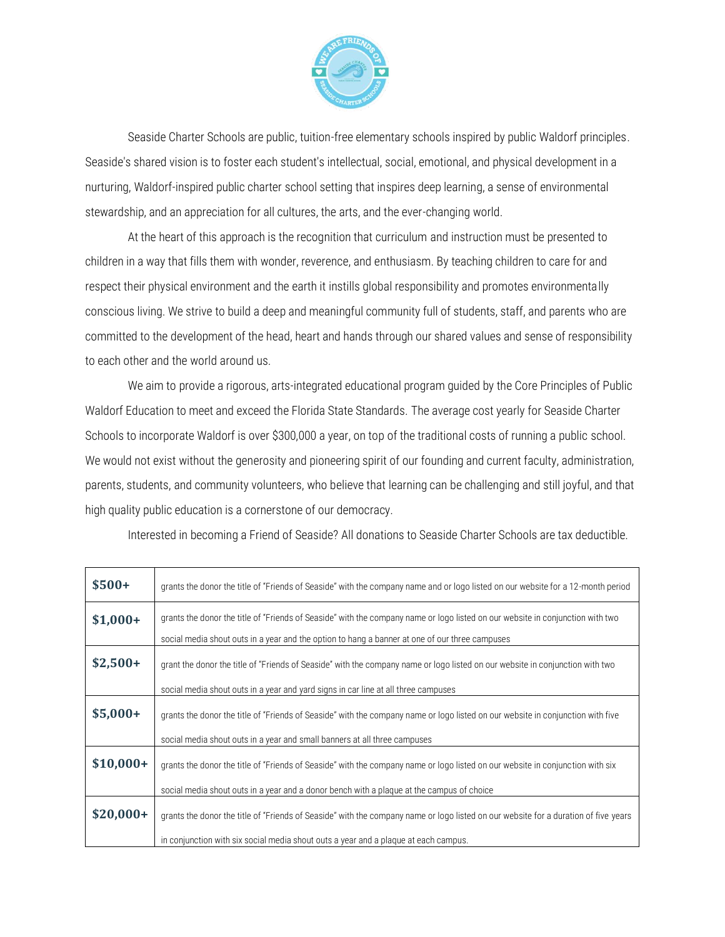

Seaside Charter Schools are public, tuition-free elementary schools inspired by public Waldorf principles. Seaside's shared vision is to foster each student's intellectual, social, emotional, and physical development in a nurturing, Waldorf-inspired public charter school setting that inspires deep learning, a sense of environmental stewardship, and an appreciation for all cultures, the arts, and the ever-changing world.

At the heart of this approach is the recognition that curriculum and instruction must be presented to children in a way that fills them with wonder, reverence, and enthusiasm. By teaching children to care for and respect their physical environment and the earth it instills global responsibility and promotes environmentally conscious living. We strive to build a deep and meaningful community full of students, staff, and parents who are committed to the development of the head, heart and hands through our shared values and sense of responsibility to each other and the world around us.

We aim to provide a rigorous, arts-integrated educational program guided by the Core Principles of Public Waldorf Education to meet and exceed the Florida State Standards. The average cost yearly for Seaside Charter Schools to incorporate Waldorf is over \$300,000 a year, on top of the traditional costs of running a public school. We would not exist without the generosity and pioneering spirit of our founding and current faculty, administration, parents, students, and community volunteers, who believe that learning can be challenging and still joyful, and that high quality public education is a cornerstone of our democracy.

Interested in becoming a Friend of Seaside? All donations to Seaside Charter Schools are tax deductible.

| $$500+$    | grants the donor the title of "Friends of Seaside" with the company name and or logo listed on our website for a 12-month period    |  |  |  |
|------------|-------------------------------------------------------------------------------------------------------------------------------------|--|--|--|
| $$1,000+$  | grants the donor the title of "Friends of Seaside" with the company name or logo listed on our website in conjunction with two      |  |  |  |
|            | social media shout outs in a year and the option to hang a banner at one of our three campuses                                      |  |  |  |
| $$2,500+$  | grant the donor the title of "Friends of Seaside" with the company name or logo listed on our website in conjunction with two       |  |  |  |
|            | social media shout outs in a year and yard signs in car line at all three campuses                                                  |  |  |  |
| $$5,000+$  | grants the donor the title of "Friends of Seaside" with the company name or logo listed on our website in conjunction with five     |  |  |  |
|            | social media shout outs in a year and small banners at all three campuses                                                           |  |  |  |
| $$10,000+$ | grants the donor the title of "Friends of Seaside" with the company name or logo listed on our website in conjunction with six      |  |  |  |
|            | social media shout outs in a year and a donor bench with a plaque at the campus of choice                                           |  |  |  |
| $$20,000+$ | grants the donor the title of "Friends of Seaside" with the company name or logo listed on our website for a duration of five years |  |  |  |
|            | in conjunction with six social media shout outs a year and a plaque at each campus.                                                 |  |  |  |